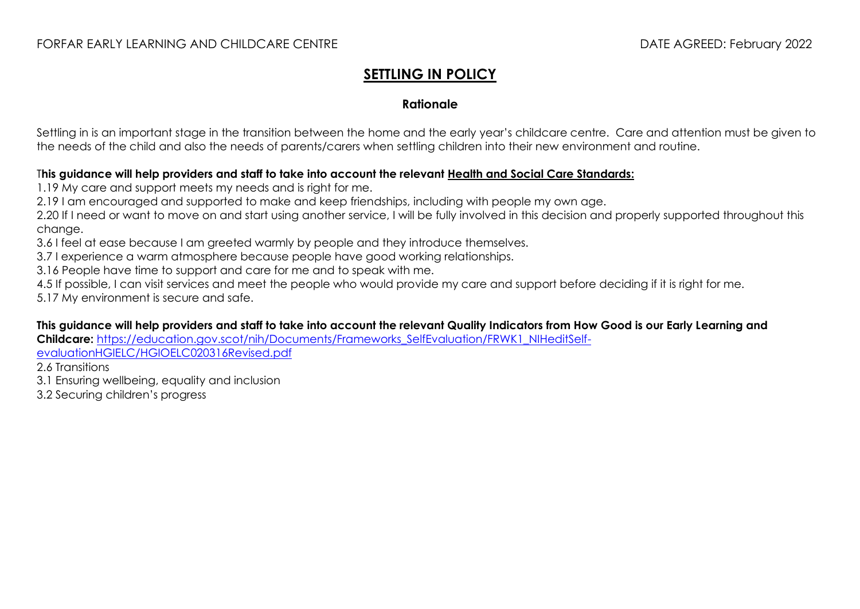## **SETTLING IN POLICY**

#### **Rationale**

Settling in is an important stage in the transition between the home and the early year's childcare centre. Care and attention must be given to the needs of the child and also the needs of parents/carers when settling children into their new environment and routine.

#### T**his guidance will help providers and staff to take into account the relevant [Health and Social Care Standards:](https://www.gov.scot/binaries/content/documents/govscot/publications/advice-and-guidance/2017/06/health-social-care-standards-support-life/documents/00520693-pdf/00520693-pdf/govscot%3Adocument/00520693.pdf)**

1.19 My care and support meets my needs and is right for me.

2.19 I am encouraged and supported to make and keep friendships, including with people my own age.

2.20 If I need or want to move on and start using another service, I will be fully involved in this decision and properly supported throughout this change.

3.6 I feel at ease because I am greeted warmly by people and they introduce themselves.

3.7 I experience a warm atmosphere because people have good working relationships.

3.16 People have time to support and care for me and to speak with me.

4.5 If possible, I can visit services and meet the people who would provide my care and support before deciding if it is right for me. 5.17 My environment is secure and safe.

#### **This guidance will help providers and staff to take into account the relevant Quality Indicators from How Good is our Early Learning and**

**Childcare:** [https://education.gov.scot/nih/Documents/Frameworks\\_SelfEvaluation/FRWK1\\_NIHeditSelf-](https://education.gov.scot/nih/Documents/Frameworks_SelfEvaluation/FRWK1_NIHeditSelf-evaluationHGIELC/HGIOELC020316Revised.pdf)

[evaluationHGIELC/HGIOELC020316Revised.pdf](https://education.gov.scot/nih/Documents/Frameworks_SelfEvaluation/FRWK1_NIHeditSelf-evaluationHGIELC/HGIOELC020316Revised.pdf)

2.6 Transitions

3.1 Ensuring wellbeing, equality and inclusion

3.2 Securing children's progress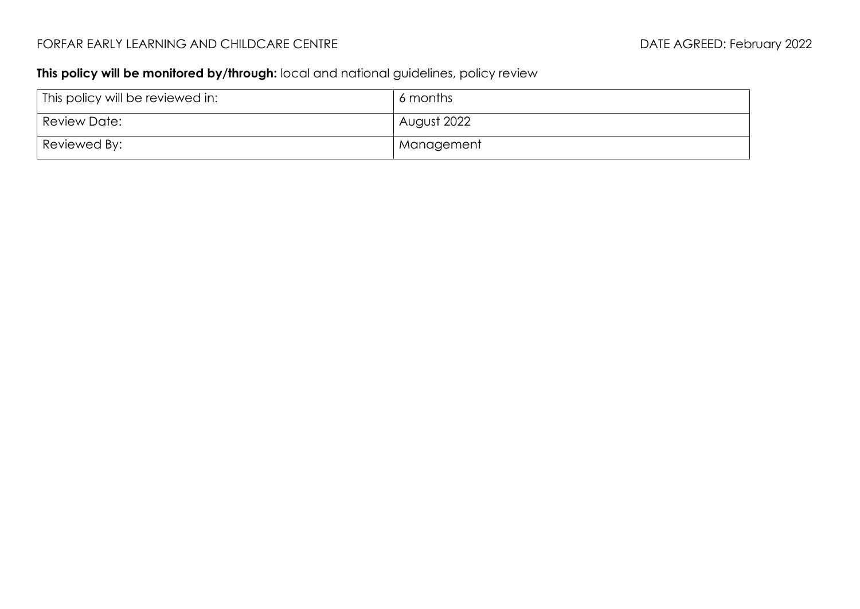# FORFAR EARLY LEARNING AND CHILDCARE CENTRE **Extractional CHILDS** DATE AGREED: February 2022

### **This policy will be monitored by/through:** local and national guidelines, policy review

| This policy will be reviewed in: | 6 months    |
|----------------------------------|-------------|
| Review Date:                     | August 2022 |
| Reviewed By:                     | Management  |